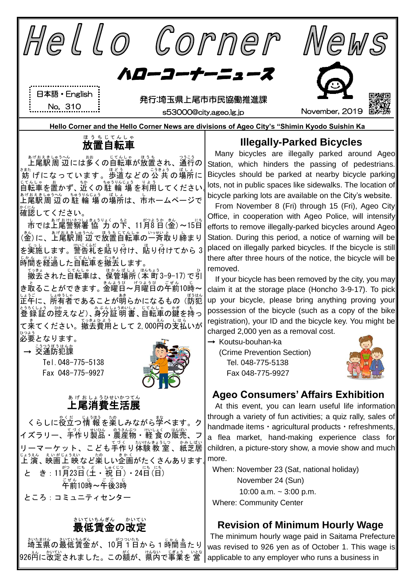

かなじんの最低賃金が、10月1日から1時間当たり 。<br>926首に改定されました。この額が、県内で事業を 営

The minimum hourly wage paid in Saitama Prefecture was revised to 926 yen as of October 1. This wage is applicable to any employer who runs a business in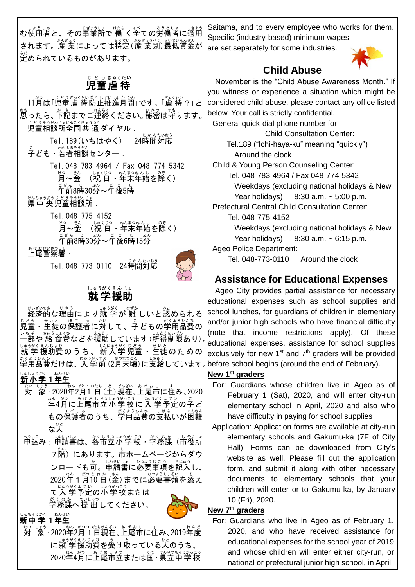しょうしゃ。 じょうしょ はら、 我くての労働者に適用している。 てきょう されます。産 業によっては特定(産 業別)最低賃金が 。<br>定められているものがあります。

#### 児童 虐 待 じ ど う ぎゃくたい

11月は「児童虐 待防止推進月間」です。「虐待?」と \*\*。<br>思ったら、卞記までご連絡ください。秘密は守ります。│ <u>じどうもうじょばいこともつう</u><br>児童相談所全国共 通ダイヤル :

Tel.189(いちはやく) <sub>じかんたいおう</sub><br>時間対応 <u>こ</u><br>子ども・若者相談センター :

> Tel.048-783-4964 / Fax 048-774-5342 "Constant of the state of the state of the state of the state of the state of the state of the state of the st<br>「月〜金 (祝 日・年末年始を除く)

<sub>ごぜん じ</sub>。<br>30分~午後5時

<sub>けんちゅうおうじどうそうだんじょ<br>県中 央児童相談所:</sub>

Tel.048-775-4152 月 げつ ~金 きん (祝 日 しゅくじつ ・年末 ねんまつ 年始 ねんし を除 のぞ く) <sub>ごぜん じ</sub> ぷん ごご じょ。<br>午前8時30分~午後6時15分

ぁゖぉゖぃ<u>きっしょ</u><br>**上尾警察署**:

Tel.048-773-0110 24時間対応



#### 就 学 援助 しゅうがく えんじょ

経済的 けいざいてき な理由 りゆう により就 学 しゅうがく が 難 むずか しいと認 みと められる 児童 じどう ・生徒 せいと の保護者 ほごしゃ に対 たい して、子 こ どもの学用品費 がくようひんひ の 一部 いちぶ や 給 きゅう 食費 しょくひ などを援助 えんじょ しています(所得 しょとく 制限 せいげん あり)。 いゥがくもんじょひ<br>就 学 援助費の う ち 、 新 入 学 児童 ・生徒の た め の 学用品費 がくようひんひ だけは、入学前 にゅうがくまえ (2月 がつ 末 まつ 頃 ごろ )に支給 しきゅう しています。

## しんしょうがく ねんせい

- <u>ないは、</u><br>対 象 : 2020年2月1日 (土)現在、上尾市に住み、2020 年 ねん 4月 がつ に上尾市 あげおし 立 りつ 小学校 しょうがっこう に 入 学 にゅうがく 予定 よてい の子 こ ど もの保護者のうち、学用品費の支払いが困難 な人 ひと
- <u>もうに。 い戦はは、</u>がくりっぱうがっこう がくむ我(市役所 7 階) にあります。市ホームページからダウ ンロードも可。申請書に必要事項を記入し、│ 2020年 1 月i0 白 (釜) までに必要書類を添え て入学予定の小学校または

学務課 がくむか へ提 出 ていしゅつ してください。



#### しんちゅうがく ねんせい<br>**新中学1年生**

<u>ないはす</u><br>対 象 : 2020年2月1日現在、上尾市に住み、2019年度 に就 学援助費を受け取っている人のうち、 2020年4月に上尾市立または国・県立中学校

Saitama, and to every employee who works for them. Specific (industry-based) minimum wages are set separately for some industries.



### **Child Abuse**

November is the "Child Abuse Awareness Month." If you witness or experience a situation which might be considered child abuse, please contact any office listed below. Your call is strictly confidential.

General quick-dial phone number for Child Consultation Center: Tel.189 ("Ichi-haya-ku" meaning "quickly") Around the clock

Child & Young Person Counseling Center:

Tel. 048-783-4964 / Fax 048-774-5342 Weekdays (excluding national holidays & New Year holidays)  $8:30$  a.m.  $\sim$  5:00 p.m.

Prefectural Central Child Consultation Center: Tel. 048-775-4152

> Weekdays (excluding national holidays & New Year holidays)  $8:30$  a.m.  $\sim 6:15$  p.m.

Ageo Police Department:

Tel. 048-773-0110 Around the clock

## **Assistance for Educational Expenses**

Ageo City provides partial assistance for necessary educational expenses such as school supplies and school lunches, for guardians of children in elementary and/or junior high schools who have financial difficulty (note that income restrictions apply). Of these educational expenses, assistance for school supplies exclusively for new 1<sup>st</sup> and  $7<sup>th</sup>$  graders will be provided before school begins (around the end of February).

#### **New 1st graders**

- For: Guardians whose children live in Ageo as of February 1 (Sat), 2020, and will enter city-run elementary school in April, 2020 and also who have difficulty in paying for school supplies
- Application: Application forms are available at city-run elementary schools and Gakumu-ka (7F of City Hall). Forms can be downloaded from City's website as well. Please fill out the application form, and submit it along with other necessary documents to elementary schools that your children will enter or to Gakumu-ka, by January 10 (Fri), 2020.

#### **New 7 th graders**

For: Guardians who live in Ageo as of February 1, 2020, and who have received assistance for educational expenses for the school year of 2019 and whose children will enter either city-run, or national or prefectural junior high school, in April,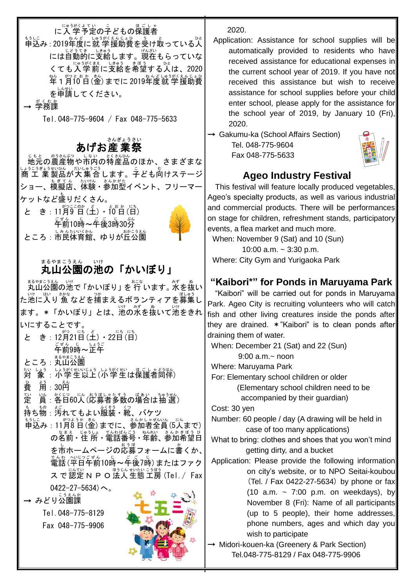に入学予定の子どもの保護者

もうしこ<br>申込み : 2019年度に就 学援助費を受け取っている人 には自動的に支給します。現在もらっていな くても入学前に支給を希望する人は、2020 \*\*。 \*○とポゕ(\*\*〉)までに 2019年度就 学援助費 を申請 しんせい してください。

→ 学務課 がくむか

Ξ

Tel.048-775-9604 / Fax 048-775-5633

# ぁ。。。。。。。。。。<br>あげお産業祭

地元 じもと の農産物 のうさんぶつ や市内 しない の特 とく 産品 さんひん のほか、さまざまな ↓ょぅこう まいいん だいゅうごう<br>商 工 業 製品が大 集 合 します。子ども向けステージ ショー、模擬店、体験・参加型イベント、フリーマー ケットなど盛 も りだくさん。

と き : 11月9 日 (土) ・ にゅ〔日) ゠<sub>゙゠゙</sub><br>午前10時~午後3時30分 ところ:市民体育館、ゆりが丘公園



# まるやまこうぇん いけ<br>**丸山公園の池の「かいぼり」**

まるやまこうえん<br>丸山公園の池で「かいぼり」を 行 います。 水を抜い た池 いけ に入 はい り 魚 さかな などを捕 つか まえるボランティアを募集 ぼしゅう し ます。\*「かいぼり」とは、<sup>\\'†</sup>の水を扱いて池をきれ いにすることです。 と き:12月21日(土)・22日(日) デ<sub>もの時~</sub><br>ことのキンエチ ところ : 丸山公園 <sub>たいしょう</sub> しょうじょう しょうがくせい ほごしゃらう[格]<br>**対 象 : 小学生以上(小学生は保護者同伴)** 

費 ひ 。<br>用 : 30円

定 てい )。 ※150(1) 《 おぼしゃなず》 の場合は抽 選)

**、ありがい。**<br>持ち物 : 汚れてもよい服装・靴、バケツ

もうに<br>申込み : 11月8 日 (金) までに、参加者全員 (5人まで) の名前・住 所・電話番号・年齢、参加希望日 を市ホームページの応募フォームに書くか、│ 。。<br>電話(平日午前10時~年後7時)またはファク スで認定NPO法人生態工房 (Tel. / Fax )  $0422 - 27 - 5634$ )

— みどり公園課 Tel.048-775-8129

Fax 048-775-9906



2020.

Application: Assistance for school supplies will be automatically provided to residents who have received assistance for educational expenses in the current school year of 2019. If you have not received this assistance but wish to receive assistance for school supplies before your child enter school, please apply for the assistance for the school year of 2019, by January 10 (Fri), 2020.

→ Gakumu-ka (School Affairs Section) Tel. 048-775-9604

Fax 048-775-5633



## **Ageo Industry Festival**

This festival will feature locally produced vegetables, Ageo's specialty products, as well as various industrial and commercial products. There will be performances on stage for children, refreshment stands, participatory events, a flea market and much more.

When: November 9 (Sat) and 10 (Sun)

10:00 a.m. ~ 3:30 p.m. Where: City Gym and Yurigaoka Park

## **"Kaibori\*" for Ponds in Maruyama Park**

 "Kaibori" will be carried out for ponds in Maruyama Park. Ageo City is recruiting volunteers who will catch fish and other living creatures inside the ponds after they are drained. \*"Kaibori" is to clean ponds after draining them of water.

When: December 21 (Sat) and 22 (Sun)

 $9:00$  a.m. $\sim$  noon

Where: Maruyama Park

For: Elementary school children or older (Elementary school children need to be accompanied by their guardian)

Cost: 30 yen

Number: 60 people / day (A drawing will be held in case of too many applications)

What to bring: clothes and shoes that you won't mind getting dirty, and a bucket

Application: Please provide the following information on city's website, or to NPO Seitai-koubou (Tel. / Fax 0422-27-5634) by phone or fax (10 a.m.  $\sim$  7:00 p.m. on weekdays), by November 8 (Fri): Name of all participants (up to 5 people), their home addresses, phone numbers, ages and which day you wish to participate

→ Midori-kouen-ka (Greenery & Park Section) Tel.048-775-8129 / Fax 048-775-9906